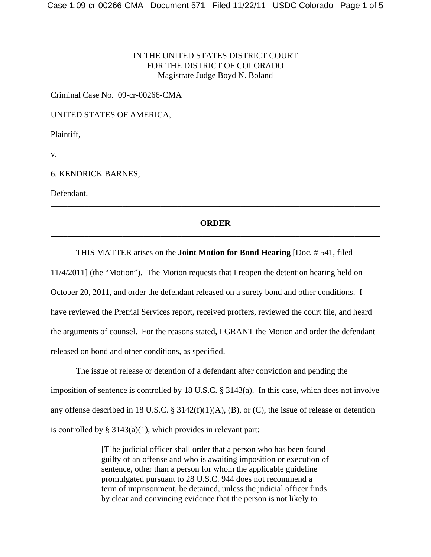## IN THE UNITED STATES DISTRICT COURT FOR THE DISTRICT OF COLORADO Magistrate Judge Boyd N. Boland

Criminal Case No. 09-cr-00266-CMA

UNITED STATES OF AMERICA,

Plaintiff,

v.

## 6. KENDRICK BARNES,

Defendant.

# **ORDER \_\_\_\_\_\_\_\_\_\_\_\_\_\_\_\_\_\_\_\_\_\_\_\_\_\_\_\_\_\_\_\_\_\_\_\_\_\_\_\_\_\_\_\_\_\_\_\_\_\_\_\_\_\_\_\_\_\_\_\_\_\_\_\_\_\_\_\_\_\_\_\_\_\_\_\_\_\_**

\_\_\_\_\_\_\_\_\_\_\_\_\_\_\_\_\_\_\_\_\_\_\_\_\_\_\_\_\_\_\_\_\_\_\_\_\_\_\_\_\_\_\_\_\_\_\_\_\_\_\_\_\_\_\_\_\_\_\_\_\_\_\_\_\_\_\_\_\_\_\_\_\_\_\_\_\_\_

### THIS MATTER arises on the **Joint Motion for Bond Hearing** [Doc. # 541, filed

11/4/2011] (the "Motion"). The Motion requests that I reopen the detention hearing held on October 20, 2011, and order the defendant released on a surety bond and other conditions. I have reviewed the Pretrial Services report, received proffers, reviewed the court file, and heard the arguments of counsel. For the reasons stated, I GRANT the Motion and order the defendant released on bond and other conditions, as specified.

The issue of release or detention of a defendant after conviction and pending the imposition of sentence is controlled by 18 U.S.C. § 3143(a). In this case, which does not involve any offense described in 18 U.S.C. § 3142(f)(1)(A), (B), or (C), the issue of release or detention is controlled by  $\S 3143(a)(1)$ , which provides in relevant part:

> [T]he judicial officer shall order that a person who has been found guilty of an offense and who is awaiting imposition or execution of sentence, other than a person for whom the applicable guideline promulgated pursuant to 28 U.S.C. 944 does not recommend a term of imprisonment, be detained, unless the judicial officer finds by clear and convincing evidence that the person is not likely to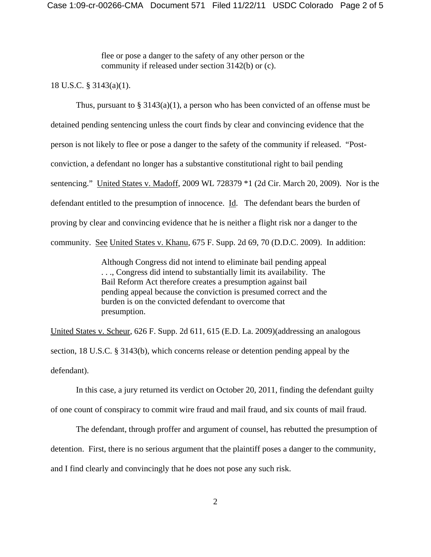flee or pose a danger to the safety of any other person or the community if released under section 3142(b) or (c).

#### 18 U.S.C. § 3143(a)(1).

Thus, pursuant to  $\S 3143(a)(1)$ , a person who has been convicted of an offense must be detained pending sentencing unless the court finds by clear and convincing evidence that the person is not likely to flee or pose a danger to the safety of the community if released. "Postconviction, a defendant no longer has a substantive constitutional right to bail pending sentencing." United States v. Madoff, 2009 WL 728379 \*1 (2d Cir. March 20, 2009). Nor is the defendant entitled to the presumption of innocence. Id. The defendant bears the burden of proving by clear and convincing evidence that he is neither a flight risk nor a danger to the community. See United States v. Khanu, 675 F. Supp. 2d 69, 70 (D.D.C. 2009). In addition:

> Although Congress did not intend to eliminate bail pending appeal . . ., Congress did intend to substantially limit its availability. The Bail Reform Act therefore creates a presumption against bail pending appeal because the conviction is presumed correct and the burden is on the convicted defendant to overcome that presumption.

United States v. Scheur, 626 F. Supp. 2d 611, 615 (E.D. La. 2009)(addressing an analogous section, 18 U.S.C. § 3143(b), which concerns release or detention pending appeal by the defendant).

In this case, a jury returned its verdict on October 20, 2011, finding the defendant guilty of one count of conspiracy to commit wire fraud and mail fraud, and six counts of mail fraud.

The defendant, through proffer and argument of counsel, has rebutted the presumption of detention. First, there is no serious argument that the plaintiff poses a danger to the community, and I find clearly and convincingly that he does not pose any such risk.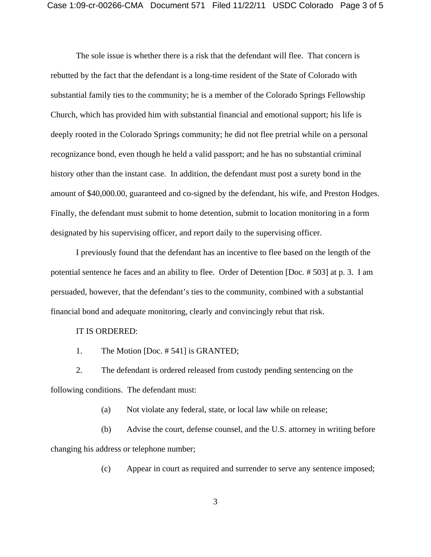The sole issue is whether there is a risk that the defendant will flee. That concern is rebutted by the fact that the defendant is a long-time resident of the State of Colorado with substantial family ties to the community; he is a member of the Colorado Springs Fellowship Church, which has provided him with substantial financial and emotional support; his life is deeply rooted in the Colorado Springs community; he did not flee pretrial while on a personal recognizance bond, even though he held a valid passport; and he has no substantial criminal history other than the instant case. In addition, the defendant must post a surety bond in the amount of \$40,000.00, guaranteed and co-signed by the defendant, his wife, and Preston Hodges. Finally, the defendant must submit to home detention, submit to location monitoring in a form designated by his supervising officer, and report daily to the supervising officer.

I previously found that the defendant has an incentive to flee based on the length of the potential sentence he faces and an ability to flee. Order of Detention [Doc. # 503] at p. 3. I am persuaded, however, that the defendant's ties to the community, combined with a substantial financial bond and adequate monitoring, clearly and convincingly rebut that risk.

#### IT IS ORDERED:

1. The Motion [Doc. # 541] is GRANTED;

2. The defendant is ordered released from custody pending sentencing on the following conditions. The defendant must:

(a) Not violate any federal, state, or local law while on release;

(b) Advise the court, defense counsel, and the U.S. attorney in writing before changing his address or telephone number;

(c) Appear in court as required and surrender to serve any sentence imposed;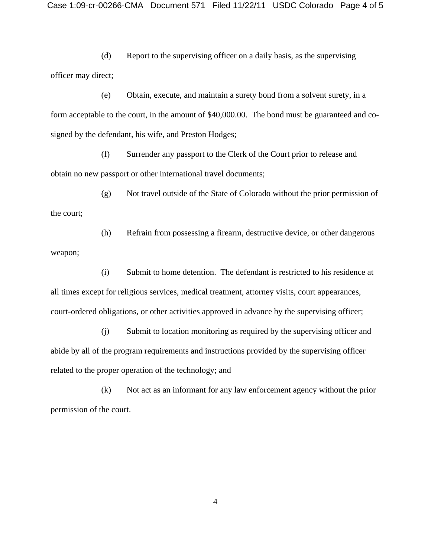(d) Report to the supervising officer on a daily basis, as the supervising officer may direct;

(e) Obtain, execute, and maintain a surety bond from a solvent surety, in a form acceptable to the court, in the amount of \$40,000.00. The bond must be guaranteed and cosigned by the defendant, his wife, and Preston Hodges;

(f) Surrender any passport to the Clerk of the Court prior to release and obtain no new passport or other international travel documents;

(g) Not travel outside of the State of Colorado without the prior permission of the court;

(h) Refrain from possessing a firearm, destructive device, or other dangerous weapon;

(i) Submit to home detention. The defendant is restricted to his residence at all times except for religious services, medical treatment, attorney visits, court appearances, court-ordered obligations, or other activities approved in advance by the supervising officer;

(j) Submit to location monitoring as required by the supervising officer and abide by all of the program requirements and instructions provided by the supervising officer related to the proper operation of the technology; and

(k) Not act as an informant for any law enforcement agency without the prior permission of the court.

4